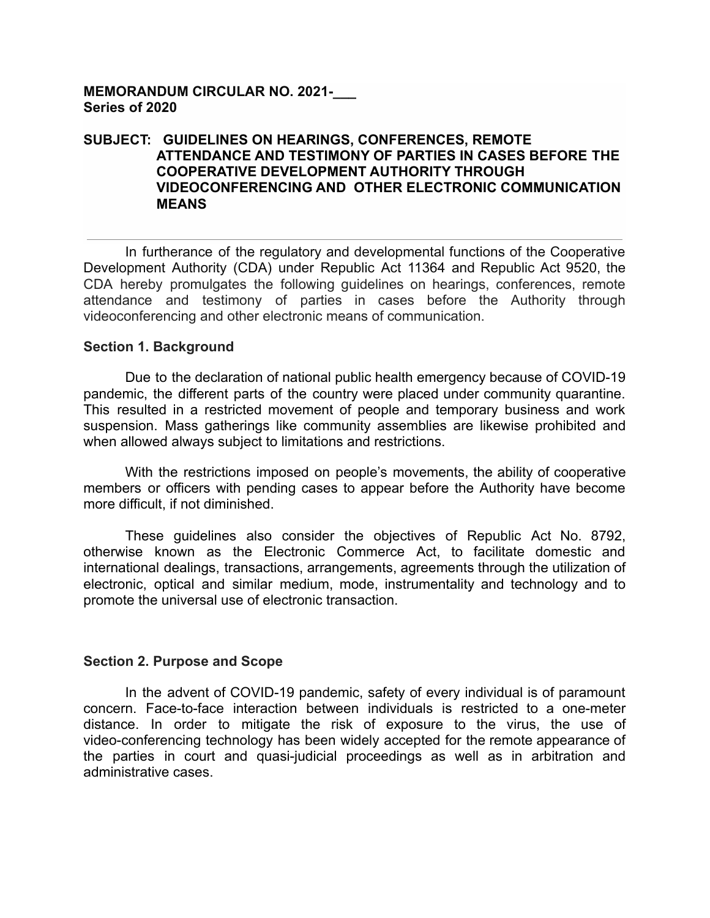## **MEMORANDUM CIRCULAR NO. 2021-\_\_\_ Series of 2020**

## **SUBJECT: GUIDELINES ON HEARINGS, CONFERENCES, REMOTE ATTENDANCE AND TESTIMONY OF PARTIES IN CASES BEFORE THE COOPERATIVE DEVELOPMENT AUTHORITY THROUGH VIDEOCONFERENCING AND OTHER ELECTRONIC COMMUNICATION MEANS**

In furtherance of the regulatory and developmental functions of the Cooperative Development Authority (CDA) under Republic Act 11364 and Republic Act 9520, the CDA hereby promulgates the following guidelines on hearings, conferences, remote attendance and testimony of parties in cases before the Authority through videoconferencing and other electronic means of communication.

#### **Section 1. Background**

Due to the declaration of national public health emergency because of COVID-19 pandemic, the different parts of the country were placed under community quarantine. This resulted in a restricted movement of people and temporary business and work suspension. Mass gatherings like community assemblies are likewise prohibited and when allowed always subject to limitations and restrictions.

With the restrictions imposed on people's movements, the ability of cooperative members or officers with pending cases to appear before the Authority have become more difficult, if not diminished.

These guidelines also consider the objectives of Republic Act No. 8792, otherwise known as the Electronic Commerce Act, to facilitate domestic and international dealings, transactions, arrangements, agreements through the utilization of electronic, optical and similar medium, mode, instrumentality and technology and to promote the universal use of electronic transaction.

### **Section 2. Purpose and Scope**

In the advent of COVID-19 pandemic, safety of every individual is of paramount concern. Face-to-face interaction between individuals is restricted to a one-meter distance. In order to mitigate the risk of exposure to the virus, the use of video-conferencing technology has been widely accepted for the remote appearance of the parties in court and quasi-judicial proceedings as well as in arbitration and administrative cases.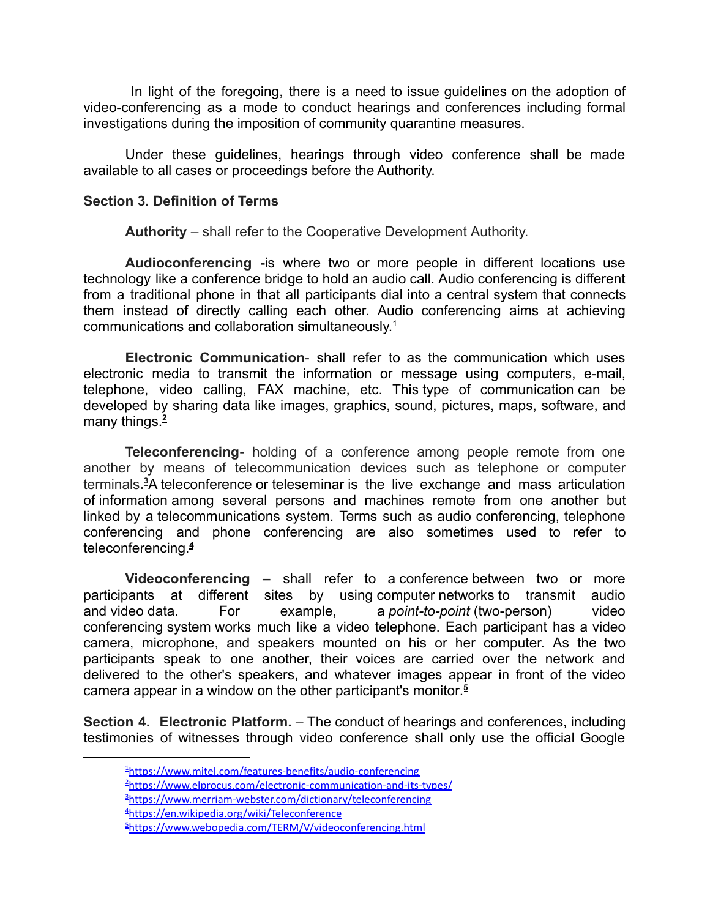In light of the foregoing, there is a need to issue guidelines on the adoption of video-conferencing as a mode to conduct hearings and conferences including formal investigations during the imposition of community quarantine measures.

Under these guidelines, hearings through video conference shall be made available to all cases or proceedings before the Authority.

## **Section 3. Definition of Terms**

**Authority** – shall refer to the Cooperative Development Authority.

**Audioconferencing -**is where two or more people in different locations use technology like a conference bridge to hold an audio call. Audio conferencing is different from a traditional phone in that all participants dial into a central system that connects them instead of directly calling each other. Audio conferencing aims at achieving communications and collaboration simultaneously. 1

**Electronic Communication**- shall refer to as the communication which uses electronic media to transmit the information or message using computers, e-mail, telephone, video calling, FAX machine, etc. This type of [communication](https://www.elprocus.com/types-of-wireless-communication-applications/) can be developed by sharing data like images, graphics, sound, pictures, maps, software, and many things.**<sup>2</sup>**

**Teleconferencing-** holding of a conference among people remote from one another by means of telecommunication devices such as telephone or computer terminals**. <sup>3</sup>**A teleconference or [teleseminar](https://en.wikipedia.org/wiki/Teleseminar) is the live exchange and mass articulation of [information](https://en.wikipedia.org/wiki/Information) among several persons and machines remote from one another but linked by a [telecommunications](https://en.wikipedia.org/wiki/Telecommunications_system) system. Terms such as audio conferencing, telephone conferencing and phone conferencing are also sometimes used to refer to teleconferencing.**<sup>4</sup>**

**Videoconferencing –** shall refer to a [conference](https://www.webopedia.com/TERM/C/conference.html) between two or more participants at different sites by using [computer](https://www.webopedia.com/TERM/C/computer.html) [networks](https://www.webopedia.com/TERM/N/network.html) to transmit audio and [video](https://www.webopedia.com/TERM/V/video.html) [data.](https://www.webopedia.com/TERM/D/data.html) For example, a *point-to-point* (two-person) video conferencing [system](https://www.webopedia.com/TERM/S/system.html) works much like a video telephone. Each participant has a video camera, microphone, and speakers mounted on his or her computer. As the two participants speak to one another, their voices are carried over the network and delivered to the other's speakers, and whatever images appear in front of the video camera appear in a [window](https://www.webopedia.com/TERM/W/window.html) on the other participant's [monitor](https://www.webopedia.com/TERM/M/monitor.html). **5**

**Section 4. Electronic Platform.** – The conduct of hearings and conferences, including testimonies of witnesses through video conference shall only use the official Google

<sup>2</sup><https://www.elprocus.com/electronic-communication-and-its-types/>

<sup>3</sup><https://www.merriam-webster.com/dictionary/teleconferencing>

<sup>4</sup><https://en.wikipedia.org/wiki/Teleconference>

<sup>&</sup>lt;sup>1</sup><https://www.mitel.com/features-benefits/audio-conferencing>

<sup>&</sup>lt;sup>5</sup><https://www.webopedia.com/TERM/V/videoconferencing.html>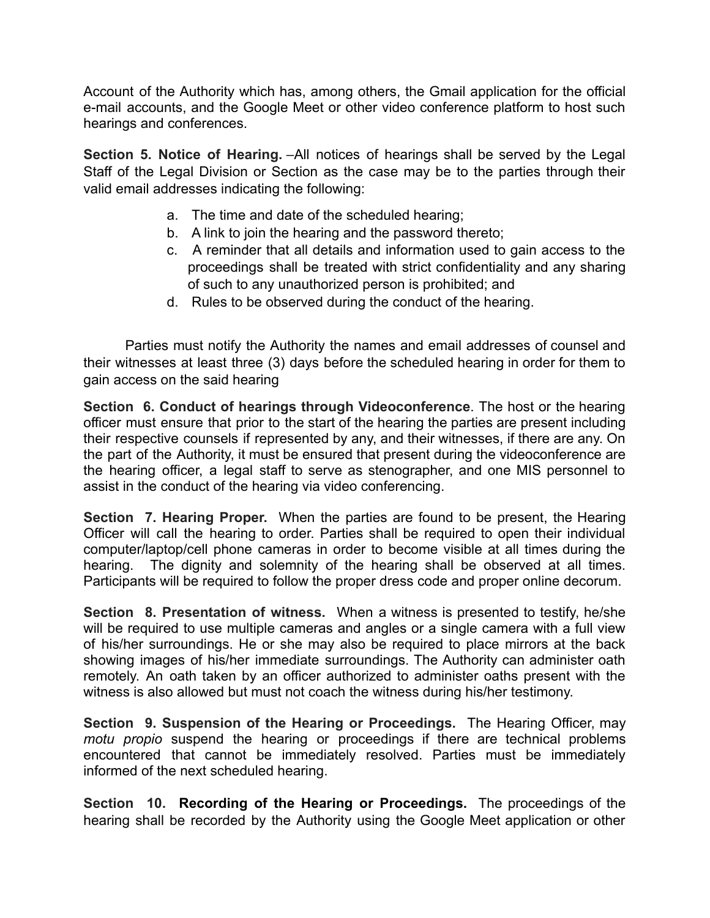Account of the Authority which has, among others, the Gmail application for the official e-mail accounts, and the Google Meet or other video conference platform to host such hearings and conferences.

**Section 5. Notice of Hearing.** –All notices of hearings shall be served by the Legal Staff of the Legal Division or Section as the case may be to the parties through their valid email addresses indicating the following:

- a. The time and date of the scheduled hearing;
- b. A link to join the hearing and the password thereto;
- c. A reminder that all details and information used to gain access to the proceedings shall be treated with strict confidentiality and any sharing of such to any unauthorized person is prohibited; and
- d. Rules to be observed during the conduct of the hearing.

Parties must notify the Authority the names and email addresses of counsel and their witnesses at least three (3) days before the scheduled hearing in order for them to gain access on the said hearing

**Section 6. Conduct of hearings through Videoconference**. The host or the hearing officer must ensure that prior to the start of the hearing the parties are present including their respective counsels if represented by any, and their witnesses, if there are any. On the part of the Authority, it must be ensured that present during the videoconference are the hearing officer, a legal staff to serve as stenographer, and one MIS personnel to assist in the conduct of the hearing via video conferencing.

**Section 7. Hearing Proper.** When the parties are found to be present, the Hearing Officer will call the hearing to order. Parties shall be required to open their individual computer/laptop/cell phone cameras in order to become visible at all times during the hearing. The dignity and solemnity of the hearing shall be observed at all times. Participants will be required to follow the proper dress code and proper online decorum.

**Section 8. Presentation of witness.** When a witness is presented to testify, he/she will be required to use multiple cameras and angles or a single camera with a full view of his/her surroundings. He or she may also be required to place mirrors at the back showing images of his/her immediate surroundings. The Authority can administer oath remotely. An oath taken by an officer authorized to administer oaths present with the witness is also allowed but must not coach the witness during his/her testimony.

**Section 9. Suspension of the Hearing or Proceedings.** The Hearing Officer, may *motu propio* suspend the hearing or proceedings if there are technical problems encountered that cannot be immediately resolved. Parties must be immediately informed of the next scheduled hearing.

**Section 10. Recording of the Hearing or Proceedings.** The proceedings of the hearing shall be recorded by the Authority using the Google Meet application or other